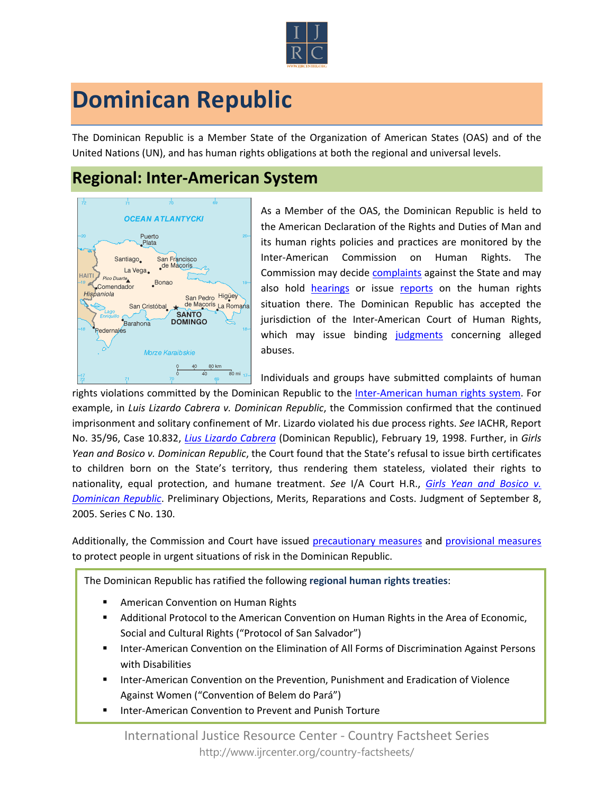

## **Dominican Republic**

The Dominican Republic is a Member State of the Organization of American States (OAS) and of the United Nations (UN), and has human rights obligations at both the regional and universal levels.

## **Regional: Inter-American System**



As a Member of the OAS, the Dominican Republic is held to the American Declaration of the Rights and Duties of Man and its human rights policies and practices are monitored by the Inter-American Commission on Human Rights. The Commission may decide [complaints](http://www.oas.org/en/iachr/decisions/merits.asp) against the State and may also hold [hearings](http://www.oas.org/es/cidh/audiencias/advanced.aspx?lang=en) or issue [reports](http://www.oas.org/en/iachr/reports/country.asp) on the human rights situation there. The Dominican Republic has accepted the jurisdiction of the Inter-American Court of Human Rights, which may issue binding [judgments](http://www.corteidh.or.cr/cf/Jurisprudencia2/busqueda_casos_contenciosos.cfm?lang=en) concerning alleged abuses.

Individuals and groups have submitted complaints of human

rights violations committed by the Dominican Republic to the [Inter-American human rights system](http://www.ijrcenter.org/regional/inter-american-system/). For example, in *Luis Lizardo Cabrera v. Dominican Republic*, the Commission confirmed that the continued imprisonment and solitary confinement of Mr. Lizardo violated his due process rights. *See* IACHR, Report No. 35/96, Case 10.832, *[Lius Lizardo Cabrera](http://www.cidh.oas.org/annualrep/97eng/Dom.Rep.10832.htm)* (Dominican Republic), February 19, 1998. Further, in *Girls Yean and Bosico v. Dominican Republic*, the Court found that the State's refusal to issue birth certificates to children born on the State's territory, thus rendering them stateless, violated their rights to nationality, equal protection, and humane treatment. *See* I/A Court H.R., *[Girls Yean and Bosico v.](file:///C:/Users/IJRC5/Dropbox/Law%20Fellows%20&%20Interns/Country%20Fact%20Sheets/FINAL%20COUNTRY/Inter-American/Brazil%20Fact%20Sheet.docxhttp:/www.corteidh.or.cr/docs/casos/articulos/seriec_156_ing.pdf)  [Dominican Republic](file:///C:/Users/IJRC5/Dropbox/Law%20Fellows%20&%20Interns/Country%20Fact%20Sheets/FINAL%20COUNTRY/Inter-American/Brazil%20Fact%20Sheet.docxhttp:/www.corteidh.or.cr/docs/casos/articulos/seriec_156_ing.pdf)*. Preliminary Objections, Merits, Reparations and Costs. Judgment of September 8, 2005. Series C No. 130.

Additionally, the Commission and Court have issued [precautionary measures](http://www.oas.org/en/iachr/decisions/precautionary.asp) and [provisional measures](http://www.corteidh.or.cr/cf/Jurisprudencia2/busqueda_medidas_provisionales.cfm?lang=en) to protect people in urgent situations of risk in the Dominican Republic.

The Dominican Republic has ratified the following **regional human rights treaties**:

- American Convention on Human Rights
- Additional Protocol to the American Convention on Human Rights in the Area of Economic, Social and Cultural Rights ("Protocol of San Salvador")
- **Inter-American Convention on the Elimination of All Forms of Discrimination Against Persons** with Disabilities
- Inter-American Convention on the Prevention, Punishment and Eradication of Violence Against Women ("Convention of Belem do Pará")
- Inter-American Convention to Prevent and Punish Torture